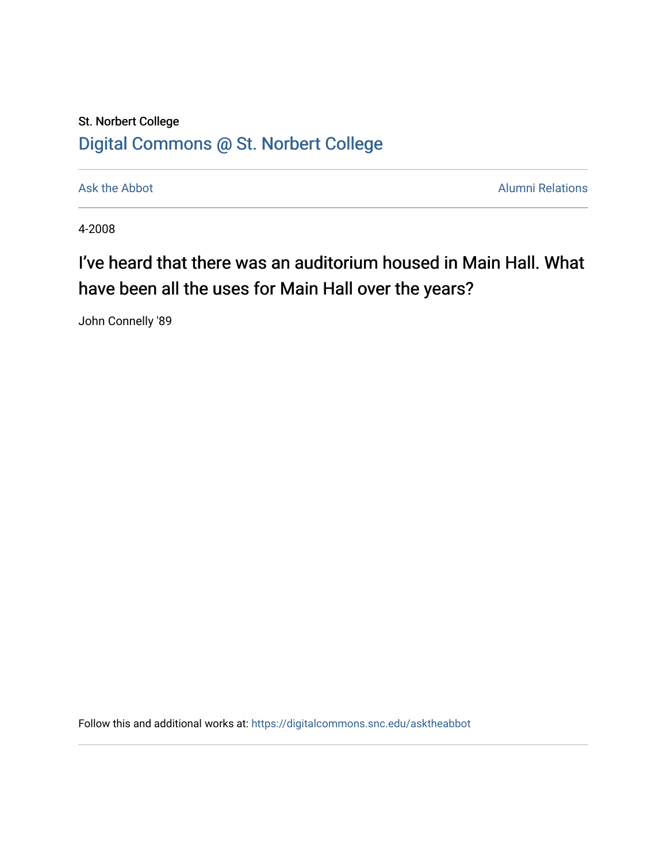## St. Norbert College [Digital Commons @ St. Norbert College](https://digitalcommons.snc.edu/)

[Ask the Abbot](https://digitalcommons.snc.edu/asktheabbot) **Alumni Relations** Ask the Abbot **Alumni Relations** 

4-2008

## I've heard that there was an auditorium housed in Main Hall. What have been all the uses for Main Hall over the years?

John Connelly '89

Follow this and additional works at: [https://digitalcommons.snc.edu/asktheabbot](https://digitalcommons.snc.edu/asktheabbot?utm_source=digitalcommons.snc.edu%2Fasktheabbot%2F16&utm_medium=PDF&utm_campaign=PDFCoverPages)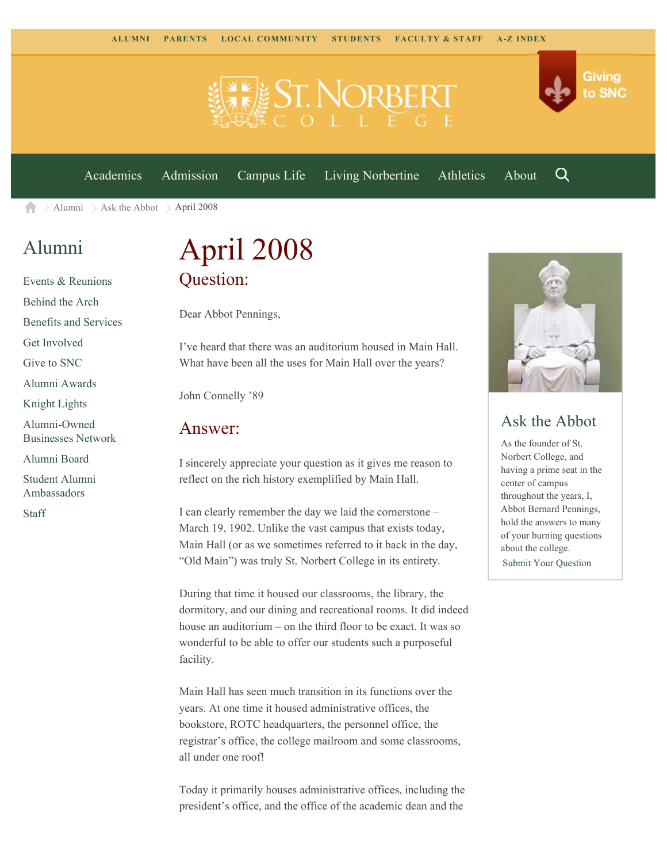

[Academics](https://www.snc.edu/academics) [Admission](https://www.snc.edu/admission) [Campus Life](https://www.snc.edu/campuslife) [Living Norbertine](https://www.snc.edu/livingnorbertine) [Athletics](https://www.snc.edu/athletics) [About](https://www.snc.edu/about)

Q

Giving

to SNC

 $\geq$  [Alumni](https://www.snc.edu/alumni/)  $\geq$  [Ask the Abbot](https://www.snc.edu/alumni/abbot/)  $\geq$  April 2008 合

### [Alumni](https://www.snc.edu/alumni/index.html)

[Events & Reunions](https://www.snc.edu/alumni/event/index.html) [Behind the Arch](https://www.snc.edu/alumni/event/behindthearch/) [Benefits and Services](https://www.snc.edu/alumni/benefits.html) [Get Involved](https://www.snc.edu/alumni/getinvolved.html) [Give to SNC](http://giving.snc.edu/) [Alumni Awards](https://www.snc.edu/alumni/awards/index.html) [Knight Lights](https://www.snc.edu/alumni/knightlights/index.html) [Alumni-Owned](https://www.snc.edu/alumni/directory/index.html) [Businesses Network](https://www.snc.edu/alumni/directory/index.html) [Alumni Board](https://www.snc.edu/alumni/alumniboard.html) [Student Alumni](https://www.snc.edu/alumni/saa.html) [Ambassadors](https://www.snc.edu/alumni/saa.html) [Staff](https://www.snc.edu/alumni/contactus.html)

# April 2008 Question:

Dear Abbot Pennings,

I've heard that there was an auditorium housed in Main Hall. What have been all the uses for Main Hall over the years?

John Connelly '89

#### Answer:

I sincerely appreciate your question as it gives me reason to reflect on the rich history exemplified by Main Hall.

I can clearly remember the day we laid the cornerstone – March 19, 1902. Unlike the vast campus that exists today, Main Hall (or as we sometimes referred to it back in the day, "Old Main") was truly St. Norbert College in its entirety.

During that time it housed our classrooms, the library, the dormitory, and our dining and recreational rooms. It did indeed house an auditorium – on the third floor to be exact. It was so wonderful to be able to offer our students such a purposeful facility.

Main Hall has seen much transition in its functions over the years. At one time it housed administrative offices, the bookstore, ROTC headquarters, the personnel office, the registrar's office, the college mailroom and some classrooms, all under one roof!

Today it primarily houses administrative offices, including the president's office, and the office of the academic dean and the



### Ask the Abbot

As the founder of St. Norbert College, and having a prime seat in the center of campus throughout the years, I, Abbot Bernard Pennings, hold the answers to many of your burning questions about the college. [Submit Your Question](https://www.snc.edu/alumni/abbot/index.html)